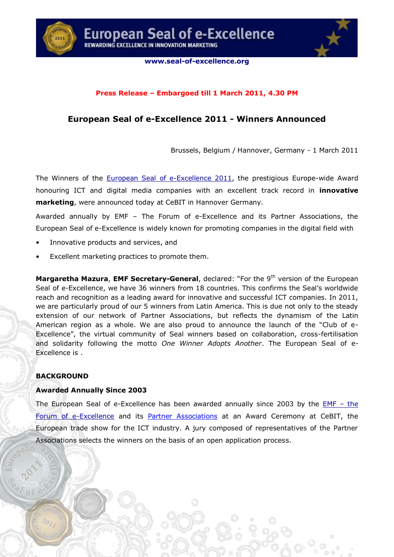



# **Press Release – Embargoed till 1 March 2011, 4.30 PM**

# **European Seal of e-Excellence 2011 - Winners Announced**

Brussels, Belgium / Hannover, Germany - 1 March 2011

The Winners of the [European Seal of e-Excellence 2011,](http://www.seal-of-excellence.org/) the prestigious Europe-wide Award honouring ICT and digital media companies with an excellent track record in **innovative marketing**, were announced today at CeBIT in Hannover Germany.

Awarded annually by EMF – The Forum of e-Excellence and its Partner Associations, the European Seal of e-Excellence is widely known for promoting companies in the digital field with

- Innovative products and services, and
- Excellent marketing practices to promote them.

**Margaretha Mazura, EMF Secretary-General, declared:** "For the 9<sup>th</sup> version of the European Seal of e-Excellence, we have 36 winners from 18 countries. This confirms the Seal's worldwide reach and recognition as a leading award for innovative and successful ICT companies. In 2011, we are particularly proud of our 5 winners from Latin America. This is due not only to the steady extension of our network of Partner Associations, but reflects the dynamism of the Latin American region as a whole. We are also proud to announce the launch of the "Club of e-Excellence", the virtual community of Seal winners based on collaboration, cross-fertilisation and solidarity following the motto *One Winner Adopts Another*. The European Seal of e-Excellence is .

# **BACKGROUND**

# **Awarded Annually Since 2003**

The European Seal of e-Excellence has been awarded annually since 2003 by the [EMF](http://www.emfs.eu/) – the [Forum of e-Excellence](http://www.emfs.eu/) and its [Partner Associations](http://www.seal-of-excellence.org/partners) at an Award Ceremony at CeBIT, the European trade show for the ICT industry. A jury composed of representatives of the Partner Associations selects the winners on the basis of an open application process.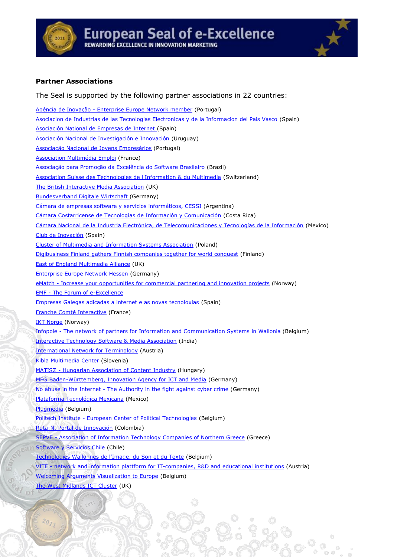



# **Partner Associations**

The Seal is supported by the following partner associations in 22 countries: Agência de Inovação - [Enterprise Europe Network member](http://www.adi.pt/) (Portugal) [Asociacion de Industrias de las Tecnologias Electronicas y de la Informacion del Pais Vasco](http://www.gaia.es/) (Spain) [Asociación National de Empresas de Internet \(](http://www.a-nei.org/)Spain) [Asociación Nacional de Investigación e Innovación](http://www.anii.org.uy/) (Uruguay) [Associação Nacional de Jovens Empresários](http://www.anje.pt/) (Portugal) [Association Multimédia Emploi](http://www.multimedia-jobs.org/) (France) [Associação para Promoção da Excelência do Software Brasileiro](http://www.softex.br/) (Brazil) [Association Suisse des Technologies de l'Information & du Multimedia](http://www.swissmedia.ch/) (Switzerland) [The British Interactive Media Association](http://www.bima.co.uk/) (UK) [Bundesverband Digitale Wirtschaft \(](http://www.bvdw.org/)Germany) [Cámara de empresas software y servicios informáticos, CESSI](http://www.cessi.org.ar/) (Argentina) [Cámara Costarricense de Tecnologías de Información y Comunicación](http://www.camtic.org/) (Costa Rica) [Cámara Nacional de la Industria Electrónica, de Telecomunicaciones y Tecnologías de la Información](http://www.canieti.org/) (Mexico) [Club de Inovación](http://www.clubdeinnovacion.es/) (Spain) [Cluster of Multimedia and Information Systems Association](http://multiklaster.pl/) (Poland) [Digibusiness Finland gathers Finnish companies together for world conquest](http://www.digibusiness.eu/) (Finland) [East of England Multimedia Alliance](http://www.emmauk.com/) (UK) [Enterprise Europe Network Hessen](http://www.een-hessen.de/) (Germany) eMatch - [Increase your opportunities for commercial partnering and innovation projects](http://ematch.eu/) (Norway[\)](http://www.e-match.eu/) EMF - [The Forum of e-Excellence](http://www.emfs.eu/) [Empresas Galegas adicadas a internet e as novas tecnoloxias](http://www.eganet.org/) (Spain) [Franche Comté Interactive](http://www.fc-interactive.org/) (France) **[IKT Norge](http://www.ikt-norge.no/) (Norway)** Infopole - [The network of partners for Information and Communication Systems in Wallonia](http://www.infopole.be/) (Belgium) [Interactive Technology Software & Media Association](http://www.itsmaindia.org/) (India) [International Network for Terminology](http://www.termnet.org/) (Austria) [Kibla Multimedia Center](http://www.kibla.org/) (Slovenia) MATISZ - [Hungarian Association of Content Industry](http://www.matisz.hu/) (Hungary) [MFG Baden-Württemberg, Innovation Agency for ICT and Media](http://www.mfg-innovation.com/) (Germany) No abuse in the Internet - [The Authority in the fight against cyber crime](http://www.naiin.org/) (Germany) [Plataforma Tecnológica Mexicana](http://campaign.r20.constantcontact.com/render?llr=zx6n66dab&v=001laauDGMXfkVeOOdGUf7JzMo3ZBQifnEL5R-uh_8VWtxCOC_xTHrQ5HcMc-XwJNjQfTAJUnlL3_-lLXZoNED4geNh5rCtFofONMMRRezYbTKEQMaYQEYL_z7LR4KVBYHn) (Mexico) [Plugmedia](http://www.plugmedia.be/) (Belgium) Politech Institute - [European Center of Political Technologies \(](http://www.politech-institute.com/)Belgium) [Ruta-N, Portal de Innovación](http://www.rutanmedellin.org/) (Colombia) SEPVE - [Association of Information Technology Companies of Northern Greece](http://www.sepve.org.gr/) (Greece) [Software y Servicios Chile](http://www.gechs.cl/) (Chile) [Technologies Wallonnes de l'Image, du Son et du Texte](http://www.twist-cluster.com/) (Belgium) VITE - [network and information plattform for IT-companies, R&D and educational institutions](http://www.vite.at/) (Austria) [Welcoming Arguments Visualization to Europe](http://www.wavedebate.eu/) (Belgium) [The West Midlands ICT Cluster](http://www.wmictcluster.org/) (UK)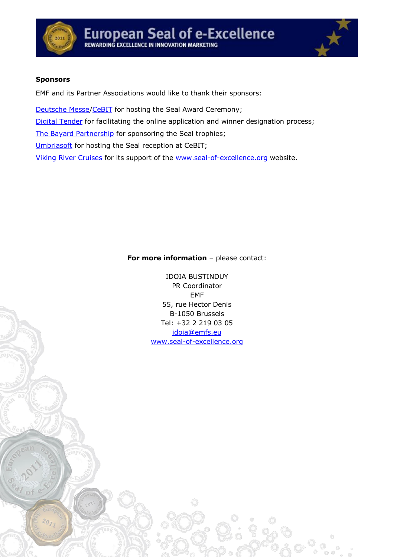



### **Sponsors**

EMF and its Partner Associations would like to thank their sponsors:

[Deutsche Messe](http://www.messe.de/homepage_e)[/CeBIT](http://www.cebit.com/) for hosting the Seal Award Ceremony;

[Digital Tender](http://www.digitaltender.com/en/index.html) for facilitating the online application and winner designation process;

[The Bayard Partnership](http://www.bayardpartnership.com/) for sponsoring the Seal trophies;

[Umbriasoft](http://www.umbriasoft.net/) for hosting the Seal reception at CeBIT;

[Viking River](http://www.vikingrivercruises.com/) Cruises for its support of the [www.seal-of-excellence.org](http://www.seal-of-excellence.org/) website.

### **For more information** – please contact:

IDOIA BUSTINDUY PR Coordinator EMF 55, rue Hector Denis B-1050 Brussels Tel: +32 2 219 03 05 [idoia@emfs.eu](mailto:idoia@emfs.eu) [www.seal-of-excellence.org](http://www.seal-of-excellence.org/)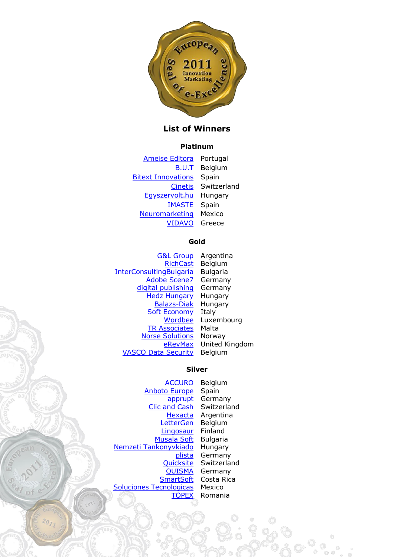

# **List of Winners**

#### **Platinum**

[Ameise Editora](http://www.ameiseonline.org/) Portugal [B.U.T](http://www.but.be/) Belgium **[Bitext Innovations](http://www.bitext.com/)** Spain [Cinetis](http://www.cinetis.ch/) Switzerland [Egyszervolt.hu](http://www.egyszervolt.hu/) Hungary [IMASTE](http://www.imaste-ips.com/) Spain [Neuromarketing](http://www.neuromarketing.org.mx/) Mexico [VIDAVO](http://www.vidavo.gr/) Greece

#### **Gold**

[G&L Group](http://www.gylgroup.com/) Argentina [RichCast](http://www.richcast.eu/) Belgium [InterConsultingBulgaria](http://www.icb.bg/) Bulgaria [Adobe Scene7](http://www.scene7.de/) Germany [digital publishing](http://www.clt-net.com/) Germany **[Hedz Hungary](http://www.hedz.eu/)** Hungary [Balazs-Diak](http://www.idoctum.hu/) Hungary [Soft Economy](http://www.umbriasoft.net/) Italy [Wordbee](http://www.wordbee.com/) Luxembourg [TR Associates](http://tr-associates.webs.com/) Malta [Norse Solutions](http://www.norse-solutions.com/) Norway [eRevMax](http://www.ratetiger.com/) United Kingdom [VASCO Data Security](http://www.vasco.com/) Belgium

#### **Silver**

[ACCURO](http://www.accuro.com/) Belgium [Anboto Europe](http://www.anbotogroup.com/) Spain [apprupt](http://www.apprupt.com/) Germany [Clic and Cash](http://www.clic-and-cash.com/) Switzerland [Hexacta](http://www.hexacta.com/) Argentina [LetterGen](http://www.lettergen.com/) Belgium [Lingosaur](http://www.lingosaur.com/) Finland [Musala Soft](http://www.musala.com/) Bulgaria [Nemzeti Tankonyvkiado](http://www.ntk.hu/) Hungary [Quicksite](http://www.quicksite.ch/) Switzerland [QUISMA](http://www.quisma.com/) Germany [SmartSoft](http://www.smartsoftint.com/) Costa Rica [Soluciones Tecnologicas](http://www.st-mx.com/) Mexico [TOPEX](http://www.topex.ro/) Romania

[plista](http://www.plista.com/) Germany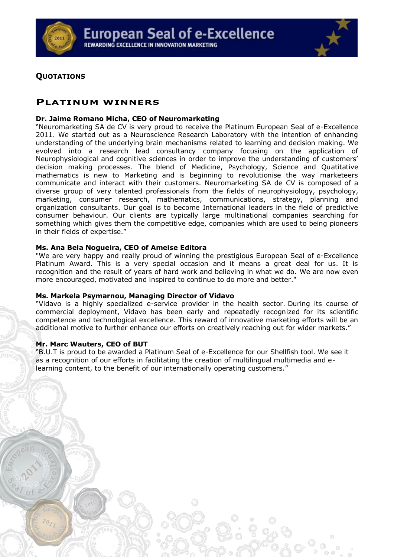



# **QUOTATIONS**

# **PLATINUM WINNERS**

#### **Dr. Jaime Romano Micha, CEO of Neuromarketing**

"Neuromarketing SA de CV is very proud to receive the Platinum European Seal of e-Excellence 2011. We started out as a Neuroscience Research Laboratory with the intention of enhancing understanding of the underlying brain mechanisms related to learning and decision making. We evolved into a research lead consultancy company focusing on the application of Neurophysiological and cognitive sciences in order to improve the understanding of customers' decision making processes. The blend of Medicine, Psychology, Science and Quatitative mathematics is new to Marketing and is beginning to revolutionise the way marketeers communicate and interact with their customers. Neuromarketing SA de CV is composed of a diverse group of very talented professionals from the fields of neurophysiology, psychology, marketing, consumer research, mathematics, communications, strategy, planning and organization consultants. Our goal is to become International leaders in the field of predictive consumer behaviour. Our clients are typically large multinational companies searching for something which gives them the competitive edge, companies which are used to being pioneers in their fields of expertise."

### **Ms. Ana Bela Nogueira, CEO of Ameise Editora**

"We are very happy and really proud of winning the prestigious European Seal of e-Excellence Platinum Award. This is a very special occasion and it means a great deal for us. It is recognition and the result of years of hard work and believing in what we do. We are now even more encouraged, motivated and inspired to continue to do more and better."

### **Ms. Markela Psymarnou, Managing Director of Vidavo**

"Vidavo is a highly specialized e-service provider in the health sector. During its course of commercial deployment, Vidavo has been early and repeatedly recognized for its scientific competence and technological excellence. This reward of innovative marketing efforts will be an additional motive to further enhance our efforts on creatively reaching out for wider markets."

# **Mr. Marc Wauters, CEO of BUT**

"B.U.T is proud to be awarded a Platinum Seal of e-Excellence for our Shellfish tool. We see it as a recognition of our efforts in facilitating the creation of multilingual multimedia and elearning content, to the benefit of our internationally operating customers."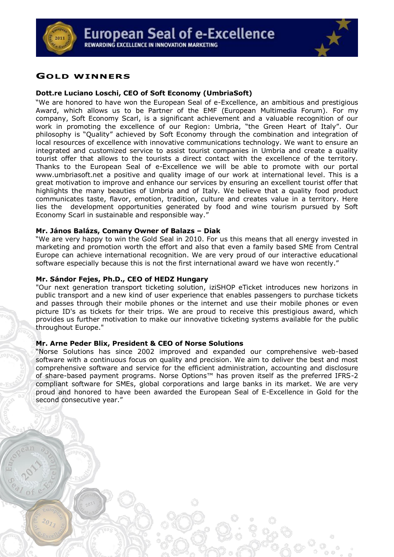



# **GOLD WINNERS**

#### **Dott.re Luciano Loschi, CEO of Soft Economy (UmbriaSoft)**

"We are honored to have won the European Seal of e-Excellence, an ambitious and prestigious Award, which allows us to be Partner of the EMF (European Multimedia Forum). For my company, Soft Economy Scarl, is a significant achievement and a valuable recognition of our work in promoting the excellence of our Region: Umbria, "the Green Heart of Italy". Our philosophy is "Quality" achieved by Soft Economy through the combination and integration of local resources of excellence with innovative communications technology. We want to ensure an integrated and customized service to assist tourist companies in Umbria and create a quality tourist offer that allows to the tourists a direct contact with the excellence of the territory. Thanks to the European Seal of e-Excellence we will be able to promote with our portal www.umbriasoft.net a positive and quality image of our work at international level. This is a great motivation to improve and enhance our services by ensuring an excellent tourist offer that highlights the many beauties of Umbria and of Italy. We believe that a quality food product communicates taste, flavor, emotion, tradition, culture and creates value in a territory. Here lies the development opportunities generated by food and wine tourism pursued by Soft Economy Scarl in sustainable and responsible way."

#### **Mr. János Balázs, Comany Owner of Balazs – Diak**

"We are very happy to win the Gold Seal in 2010. For us this means that all energy invested in marketing and promotion worth the effort and also that even a family based SME from Central Europe can achieve international recognition. We are very proud of our interactive educational software especially because this is not the first international award we have won recently."

#### **Mr. Sándor Fejes, Ph.D., CEO of HEDZ Hungary**

"Our next generation transport ticketing solution, iziSHOP eTicket introduces new horizons in public transport and a new kind of user experience that enables passengers to purchase tickets and passes through their mobile phones or the internet and use their mobile phones or even picture ID's as tickets for their trips. We are proud to receive this prestigious award, which provides us further motivation to make our innovative ticketing systems available for the public throughout Europe."

#### **Mr. Arne Peder Blix, President & CEO of Norse Solutions**

"Norse Solutions has since 2002 improved and expanded our comprehensive web-based software with a continuous focus on quality and precision. We aim to deliver the best and most comprehensive software and service for the efficient administration, accounting and disclosure of share-based payment programs. Norse Options™ has proven itself as the preferred IFRS-2 compliant software for SMEs, global corporations and large banks in its market. We are very proud and honored to have been awarded the European Seal of E-Excellence in Gold for the second consecutive year."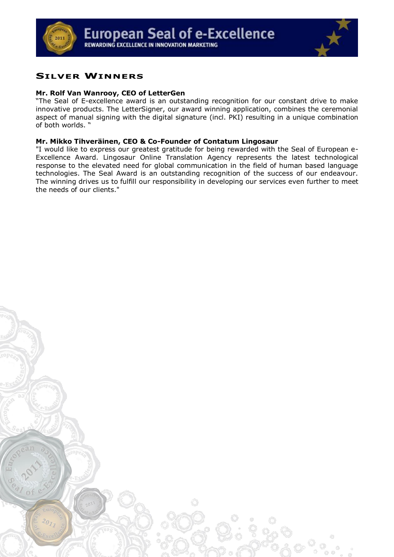

# **SILVER WINNERS**

### **Mr. Rolf Van Wanrooy, CEO of LetterGen**

"The Seal of E-excellence award is an outstanding recognition for our constant drive to make innovative products. The LetterSigner, our award winning application, combines the ceremonial aspect of manual signing with the digital signature (incl. PKI) resulting in a unique combination of both worlds. "

### **Mr. Mikko Tihveräinen, CEO & Co-Founder of Contatum Lingosaur**

"I would like to express our greatest gratitude for being rewarded with the Seal of European e-Excellence Award. Lingosaur Online Translation Agency represents the latest technological response to the elevated need for global communication in the field of human based language technologies. The Seal Award is an outstanding recognition of the success of our endeavour. The winning drives us to fulfill our responsibility in developing our services even further to meet the needs of our clients."

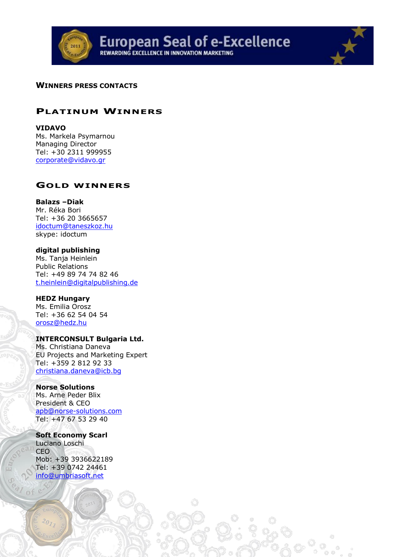

# **WINNERS PRESS CONTACTS**

# **PLATINUM WINNERS**

### **VIDAVO**

Ms. Markela Psymarnou Managing Director Tel: +30 2311 999955 [corporate@vidavo.gr](mailto:corporate@vidavo.gr)

# **GOLD WINNERS**

# **Balazs –Diak**

Mr. Réka Bori Tel: +36 20 3665657 [idoctum@taneszkoz.hu](mailto:idoctum@taneszkoz.hu) skype: idoctum

# **digital publishing**

Ms. Tanja Heinlein Public Relations Tel: +49 89 74 74 82 46 [t.heinlein@digitalpublishing.de](mailto:t.heinlein@digitalpublishing.de)

#### **HEDZ Hungary**

Ms. Emilia Orosz Tel: +36 62 54 04 54 [orosz@hedz.hu](mailto:orosz@hedz.hu)

# **INTERCONSULT Bulgaria Ltd.**

Ms. Christiana Daneva EU Projects and Marketing Expert Tel: +359 2 812 92 33 [christiana.daneva@icb.bg](mailto:christiana.daneva@icb.bg)

# **Norse Solutions**

Ms. Arne Peder Blix President & CEO [apb@norse-solutions.com](mailto:apb@norse-solutions.com) Tel: +47 67 53 29 40

#### **Soft Economy Scarl**

Luciano Loschi CEO Mob: +39 3936622189 Tel: +39 0742 24461 [info@umbriasoft.net](mailto:info@umbriasoft.net)